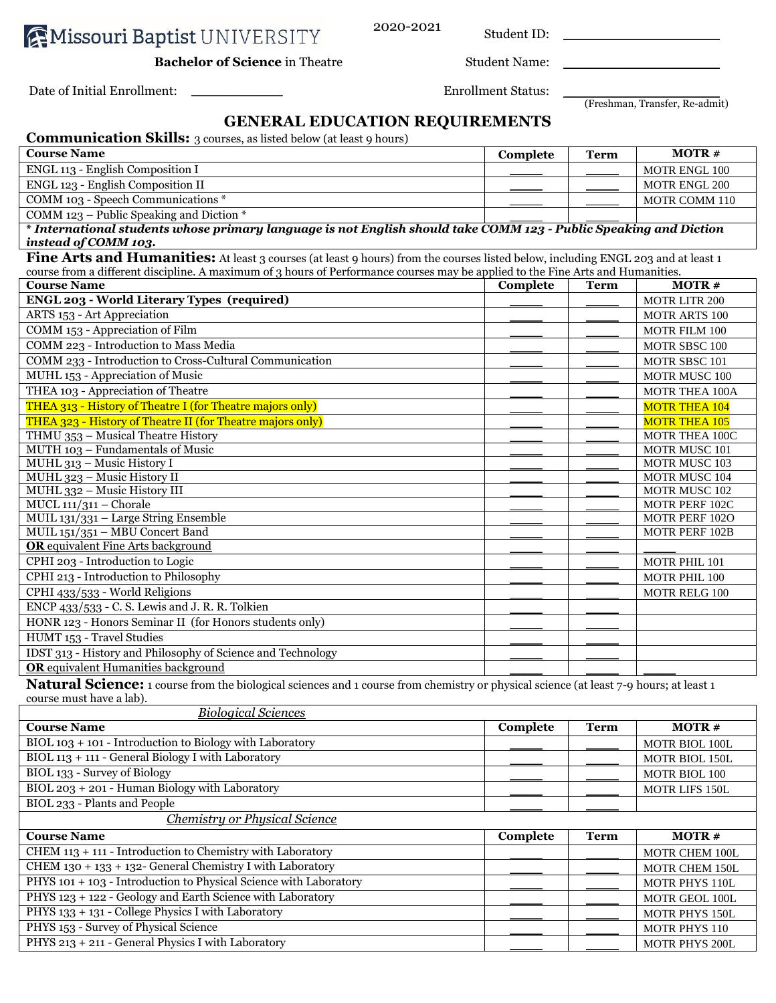**AMissouri Baptist UNIVERSITY** 

2020-2021 Student ID: \_\_\_\_\_\_\_\_\_\_\_\_\_\_\_\_\_\_\_\_\_\_\_\_

**Bachelor of Science** in Theatre Student Name:

Date of Initial Enrollment: \_\_\_\_\_\_\_\_\_\_\_\_\_\_ Enrollment Status: \_\_\_\_\_\_\_\_\_\_\_\_\_\_\_\_\_\_\_\_\_\_\_\_

(Freshman, Transfer, Re-admit)

# **GENERAL EDUCATION REQUIREMENTS**

| <b>Communication Skills:</b> 3 courses, as listed below (at least 9 hours)                                                             |                 |             |                       |
|----------------------------------------------------------------------------------------------------------------------------------------|-----------------|-------------|-----------------------|
| <b>Course Name</b>                                                                                                                     | Complete        | <b>Term</b> | <b>MOTR#</b>          |
| ENGL 113 - English Composition I                                                                                                       |                 |             | <b>MOTR ENGL 100</b>  |
| ENGL 123 - English Composition II                                                                                                      |                 |             | MOTR ENGL 200         |
| COMM 103 - Speech Communications *                                                                                                     |                 |             | MOTR COMM 110         |
| COMM 123 – Public Speaking and Diction $*$                                                                                             |                 |             |                       |
| * International students whose primary language is not English should take COMM 123 - Public Speaking and Diction                      |                 |             |                       |
| instead of COMM 103.                                                                                                                   |                 |             |                       |
| Fine Arts and Humanities: At least 3 courses (at least 9 hours) from the courses listed below, including ENGL 203 and at least 1       |                 |             |                       |
| course from a different discipline. A maximum of 3 hours of Performance courses may be applied to the Fine Arts and Humanities.        |                 |             |                       |
| <b>Course Name</b>                                                                                                                     | Complete        | <b>Term</b> | <b>MOTR#</b>          |
| ENGL 203 - World Literary Types (required)                                                                                             |                 |             | <b>MOTR LITR 200</b>  |
| ARTS 153 - Art Appreciation                                                                                                            |                 |             | MOTR ARTS 100         |
| COMM 153 - Appreciation of Film                                                                                                        |                 |             | MOTR FILM 100         |
| COMM 223 - Introduction to Mass Media                                                                                                  |                 |             | MOTR SBSC 100         |
| COMM 233 - Introduction to Cross-Cultural Communication                                                                                |                 |             | MOTR SBSC 101         |
| MUHL 153 - Appreciation of Music                                                                                                       |                 |             | MOTR MUSC 100         |
| THEA 103 - Appreciation of Theatre                                                                                                     |                 |             | <b>MOTR THEA 100A</b> |
| THEA 313 - History of Theatre I (for Theatre majors only)                                                                              |                 |             | <b>MOTR THEA 104</b>  |
| THEA 323 - History of Theatre II (for Theatre majors only)                                                                             |                 |             | <b>MOTR THEA 105</b>  |
| THMU 353 - Musical Theatre History                                                                                                     |                 |             | <b>MOTR THEA 100C</b> |
| MUTH 103 - Fundamentals of Music                                                                                                       |                 |             | MOTR MUSC 101         |
| MUHL 313 - Music History I                                                                                                             |                 |             | MOTR MUSC 103         |
| MUHL 323 - Music History II                                                                                                            |                 |             | MOTR MUSC 104         |
| MUHL 332 - Music History III                                                                                                           |                 |             | MOTR MUSC 102         |
| $MUCL$ 111/311 - Chorale                                                                                                               |                 |             | MOTR PERF 102C        |
| MUIL 131/331 - Large String Ensemble                                                                                                   |                 |             | <b>MOTR PERF 102O</b> |
| MUIL 151/351 - MBU Concert Band                                                                                                        |                 |             | MOTR PERF 102B        |
| <b>OR</b> equivalent Fine Arts background                                                                                              |                 |             |                       |
| CPHI 203 - Introduction to Logic                                                                                                       |                 |             | MOTR PHIL 101         |
| CPHI 213 - Introduction to Philosophy                                                                                                  |                 |             | MOTR PHIL 100         |
| CPHI 433/533 - World Religions                                                                                                         |                 |             | MOTR RELG 100         |
| ENCP 433/533 - C. S. Lewis and J. R. R. Tolkien                                                                                        |                 |             |                       |
| HONR 123 - Honors Seminar II (for Honors students only)                                                                                |                 |             |                       |
| HUMT 153 - Travel Studies                                                                                                              |                 |             |                       |
| IDST 313 - History and Philosophy of Science and Technology                                                                            |                 |             |                       |
| <b>OR</b> equivalent Humanities background                                                                                             |                 |             |                       |
| Natural Science: 1 course from the biological sciences and 1 course from chemistry or physical science (at least 7-9 hours; at least 1 |                 |             |                       |
| course must have a lab).                                                                                                               |                 |             |                       |
| <b>Biological Sciences</b>                                                                                                             |                 |             |                       |
| <b>Course Name</b>                                                                                                                     | <b>Complete</b> | <b>Term</b> | <b>MOTR#</b>          |
| BIOL 103 + 101 - Introduction to Biology with Laboratory                                                                               |                 |             | MOTR BIOL 100L        |
| BIOL 113 + 111 - General Biology I with Laboratory                                                                                     |                 |             | MOTR BIOL 150L        |
| BIOL 133 - Survey of Biology                                                                                                           |                 |             | MOTR BIOL 100         |
| BIOL 203 + 201 - Human Biology with Laboratory                                                                                         |                 |             | MOTR LIFS 150L        |
| BIOL 233 - Plants and People                                                                                                           |                 |             |                       |

#### *Chemistry or Physical Science*

| <b>Course Name</b>                                                | Complete | Term | $MOTR \#$             |
|-------------------------------------------------------------------|----------|------|-----------------------|
| CHEM $113 + 111$ - Introduction to Chemistry with Laboratory      |          |      | <b>MOTR CHEM 100L</b> |
| CHEM 130 + 133 + 132- General Chemistry I with Laboratory         |          |      | <b>MOTR CHEM 150L</b> |
| PHYS 101 + 103 - Introduction to Physical Science with Laboratory |          |      | <b>MOTR PHYS 110L</b> |
| PHYS 123 + 122 - Geology and Earth Science with Laboratory        |          |      | <b>MOTR GEOL 100L</b> |
| PHYS 133 + 131 - College Physics I with Laboratory                |          |      | <b>MOTR PHYS 150L</b> |
| PHYS 153 - Survey of Physical Science                             |          |      | <b>MOTR PHYS 110</b>  |
| PHYS 213 + 211 - General Physics I with Laboratory                |          |      | <b>MOTR PHYS 200L</b> |
|                                                                   |          |      |                       |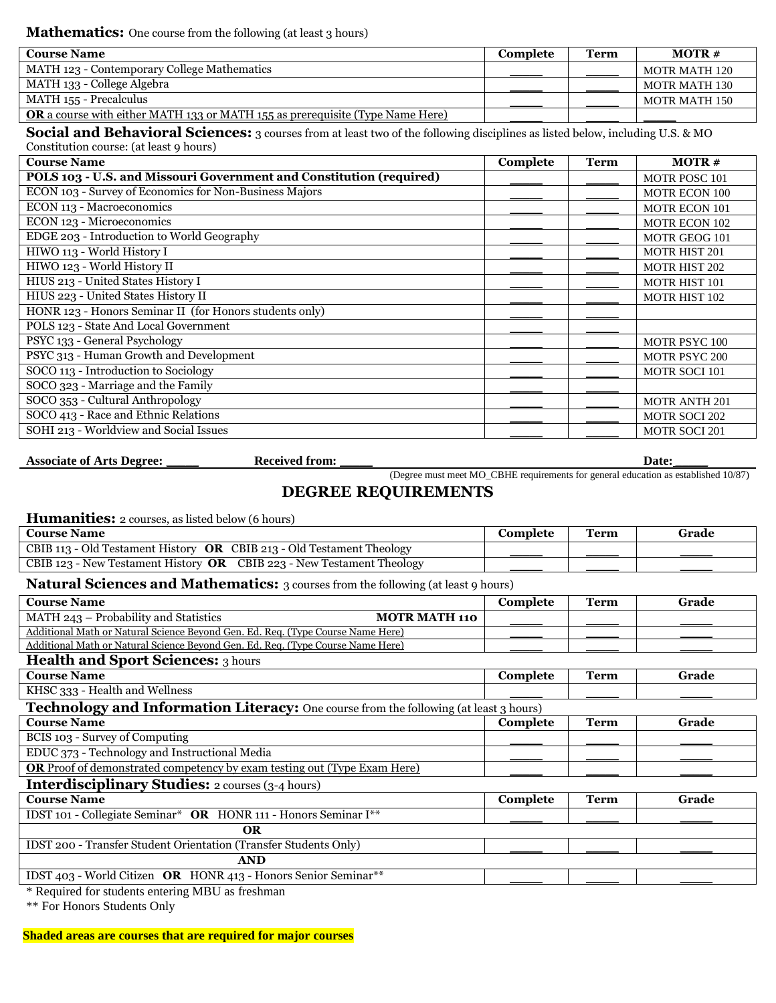| <b>Course Name</b>                                                                   | Complete | Term | $MOTR \#$     |
|--------------------------------------------------------------------------------------|----------|------|---------------|
| MATH 123 - Contemporary College Mathematics                                          |          |      | MOTR MATH 120 |
| MATH 133 - College Algebra                                                           |          |      | MOTR MATH 130 |
| MATH 155 - Precalculus                                                               |          |      | MOTR MATH 150 |
| <b>OR</b> a course with either MATH 133 or MATH 155 as prerequisite (Type Name Here) |          |      |               |

**Social and Behavioral Sciences:** 3 courses from at least two of the following disciplines as listed below, including U.S. & MO Constitution course: (at least 9 hours)

| <b>Course Name</b>                                                  | Complete | <b>Term</b> | $MOTR \#$            |
|---------------------------------------------------------------------|----------|-------------|----------------------|
| POLS 103 - U.S. and Missouri Government and Constitution (required) |          |             | <b>MOTR POSC 101</b> |
| ECON 103 - Survey of Economics for Non-Business Majors              |          |             | <b>MOTR ECON 100</b> |
| ECON 113 - Macroeconomics                                           |          |             | <b>MOTR ECON 101</b> |
| ECON 123 - Microeconomics                                           |          |             | <b>MOTR ECON 102</b> |
| EDGE 203 - Introduction to World Geography                          |          |             | MOTR GEOG 101        |
| HIWO 113 - World History I                                          |          |             | <b>MOTR HIST 201</b> |
| HIWO 123 - World History II                                         |          |             | <b>MOTR HIST 202</b> |
| HIUS 213 - United States History I                                  |          |             | <b>MOTR HIST 101</b> |
| HIUS 223 - United States History II                                 |          |             | MOTR HIST 102        |
| HONR 123 - Honors Seminar II (for Honors students only)             |          |             |                      |
| POLS 123 - State And Local Government                               |          |             |                      |
| PSYC 133 - General Psychology                                       |          |             | <b>MOTR PSYC 100</b> |
| PSYC 313 - Human Growth and Development                             |          |             | <b>MOTR PSYC 200</b> |
| SOCO 113 - Introduction to Sociology                                |          |             | <b>MOTR SOCI 101</b> |
| SOCO 323 - Marriage and the Family                                  |          |             |                      |
| SOCO 353 - Cultural Anthropology                                    |          |             | <b>MOTR ANTH 201</b> |
| SOCO 413 - Race and Ethnic Relations                                |          |             | <b>MOTR SOCI 202</b> |
| SOHI 213 - Worldview and Social Issues                              |          |             | <b>MOTR SOCI 201</b> |

**Associate of Arts Degree:** \_\_\_\_\_ **Received from:** \_\_\_\_\_ **Date:** \_\_\_\_\_

(Degree must meet MO\_CBHE requirements for general education as established 10/87)

### **DEGREE REQUIREMENTS**

| <b>Humanities:</b> 2 courses, as listed below (6 hours)                                  |          |             |       |
|------------------------------------------------------------------------------------------|----------|-------------|-------|
| <b>Course Name</b>                                                                       | Complete | <b>Term</b> | Grade |
| CBIB 113 - Old Testament History OR CBIB 213 - Old Testament Theology                    |          |             |       |
| CBIB 123 - New Testament History OR CBIB 223 - New Testament Theology                    |          |             |       |
| <b>Natural Sciences and Mathematics:</b> 3 courses from the following (at least 9 hours) |          |             |       |
| <b>Course Name</b>                                                                       | Complete | <b>Term</b> | Grade |
| MATH 243 - Probability and Statistics<br><b>MOTR MATH 110</b>                            |          |             |       |
| Additional Math or Natural Science Beyond Gen. Ed. Req. (Type Course Name Here)          |          |             |       |
| Additional Math or Natural Science Beyond Gen. Ed. Req. (Type Course Name Here)          |          |             |       |
| <b>Health and Sport Sciences: 3 hours</b>                                                |          |             |       |
| <b>Course Name</b>                                                                       | Complete | Term        | Grade |
| KHSC 333 - Health and Wellness                                                           |          |             |       |
| Technology and Information Literacy: One course from the following (at least 3 hours)    |          |             |       |
| <b>Course Name</b>                                                                       | Complete | <b>Term</b> | Grade |
| BCIS 103 - Survey of Computing                                                           |          |             |       |
| EDUC 373 - Technology and Instructional Media                                            |          |             |       |
| <b>OR</b> Proof of demonstrated competency by exam testing out (Type Exam Here)          |          |             |       |
| <b>Interdisciplinary Studies:</b> 2 courses (3-4 hours)                                  |          |             |       |
| <b>Course Name</b>                                                                       | Complete | <b>Term</b> | Grade |
| IDST 101 - Collegiate Seminar* OR HONR 111 - Honors Seminar I**                          |          |             |       |
| <b>OR</b>                                                                                |          |             |       |
| IDST 200 - Transfer Student Orientation (Transfer Students Only)                         |          |             |       |
| <b>AND</b>                                                                               |          |             |       |

IDST 403 - World Citizen OR HONR 413 - Honors Senior Seminar\*\*

\* Required for students entering MBU as freshman

\*\* For Honors Students Only